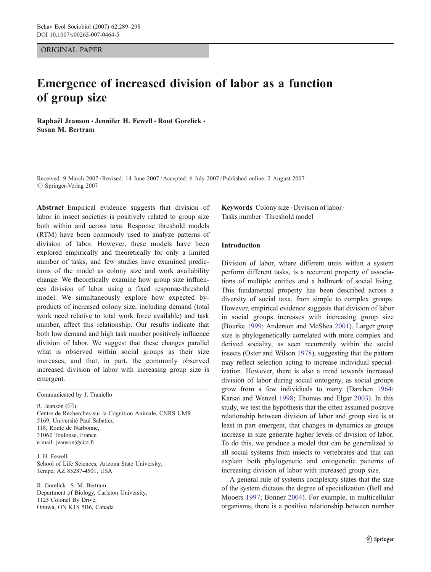# ORIGINAL PAPER

# Emergence of increased division of labor as a function of group size

Raphaël Jeanson • Jennifer H. Fewell • Root Gorelick • Susan M. Bertram

Received: 9 March 2007 /Revised: 14 June 2007 /Accepted: 6 July 2007 / Published online: 2 August 2007  $\oslash$  Springer-Verlag 2007

Abstract Empirical evidence suggests that division of labor in insect societies is positively related to group size both within and across taxa. Response threshold models (RTM) have been commonly used to analyze patterns of division of labor. However, these models have been explored empirically and theoretically for only a limited number of tasks, and few studies have examined predictions of the model as colony size and work availability change. We theoretically examine how group size influences division of labor using a fixed response-threshold model. We simultaneously explore how expected byproducts of increased colony size, including demand (total work need relative to total work force available) and task number, affect this relationship. Our results indicate that both low demand and high task number positively influence division of labor. We suggest that these changes parallel what is observed within social groups as their size increases, and that, in part, the commonly observed increased division of labor with increasing group size is emergent.

R. Jeanson (*\**) Centre de Recherches sur la Cognition Animale, CNRS UMR 5169, Université Paul Sabatier, 118, Route de Narbonne, 31062 Toulouse, France e-mail: jeanson@cict.fr

J. H. Fewell School of Life Sciences, Arizona State University, Tempe, AZ 85287-4501, USA

R. Gorelick *:* S. M. Bertram Department of Biology, Carleton University, 1125 Colonel By Drive, Ottawa, ON K1S 5B6, Canada

Keywords Colony size . Division of labor. Tasks number. Threshold model

# Introduction

Division of labor, where different units within a system perform different tasks, is a recurrent property of associations of multiple entities and a hallmark of social living. This fundamental property has been described across a diversity of social taxa, from simple to complex groups. However, empirical evidence suggests that division of labor in social groups increases with increasing group size (Bourke [1999;](#page-8-0) Anderson and McShea [2001\)](#page-7-0). Larger group size is phylogenetically correlated with more complex and derived sociality, as seen recurrently within the social insects (Oster and Wilson [1978](#page-8-0)), suggesting that the pattern may reflect selection acting to increase individual specialization. However, there is also a trend towards increased division of labor during social ontogeny, as social groups grow from a few individuals to many (Darchen [1964;](#page-8-0) Karsai and Wenzel [1998;](#page-8-0) Thomas and Elgar [2003](#page-8-0)). In this study, we test the hypothesis that the often assumed positive relationship between division of labor and group size is at least in part emergent, that changes in dynamics as groups increase in size generate higher levels of division of labor. To do this, we produce a model that can be generalized to all social systems from insects to vertebrates and that can explain both phylogenetic and ontogenetic patterns of increasing division of labor with increased group size.

A general rule of systems complexity states that the size of the system dictates the degree of specialization (Bell and Mooers [1997;](#page-7-0) Bonner [2004\)](#page-7-0). For example, in multicellular organisms, there is a positive relationship between number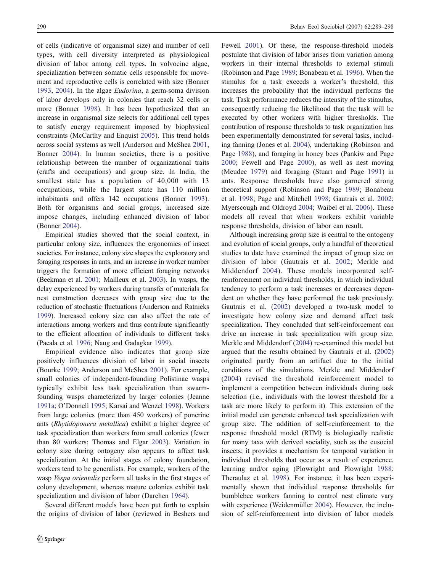of cells (indicative of organismal size) and number of cell types, with cell diversity interpreted as physiological division of labor among cell types. In volvocine algae, specialization between somatic cells responsible for movement and reproductive cells is correlated with size (Bonner [1993,](#page-7-0) [2004\)](#page-7-0). In the algae Eudorina, a germ-soma division of labor develops only in colonies that reach 32 cells or more (Bonner [1998](#page-7-0)). It has been hypothesized that an increase in organismal size selects for additional cell types to satisfy energy requirement imposed by biophysical constraints (McCarthy and Enquist [2005](#page-8-0)). This trend holds across social systems as well (Anderson and McShea [2001,](#page-7-0) Bonner [2004](#page-7-0)). In human societies, there is a positive relationship between the number of organizational traits (crafts and occupations) and group size. In India, the smallest state has a population of 40,000 with 13 occupations, while the largest state has 110 million inhabitants and offers 142 occupations (Bonner [1993](#page-7-0)). Both for organisms and social groups, increased size impose changes, including enhanced division of labor (Bonner [2004\)](#page-7-0).

Empirical studies showed that the social context, in particular colony size, influences the ergonomics of insect societies. For instance, colony size shapes the exploratory and foraging responses in ants, and an increase in worker number triggers the formation of more efficient foraging networks (Beekman et al. [2001;](#page-7-0) Mailleux et al. [2003\)](#page-8-0). In wasps, the delay experienced by workers during transfer of materials for nest construction decreases with group size due to the reduction of stochastic fluctuations (Anderson and Ratnieks [1999\)](#page-7-0). Increased colony size can also affect the rate of interactions among workers and thus contribute significantly to the efficient allocation of individuals to different tasks (Pacala et al. [1996;](#page-8-0) Naug and Gadagkar [1999\)](#page-8-0).

Empirical evidence also indicates that group size positively influences division of labor in social insects (Bourke [1999;](#page-8-0) Anderson and McShea [2001](#page-7-0)). For example, small colonies of independent-founding Polistinae wasps typically exhibit less task specialization than swarmfounding wasps characterized by larger colonies (Jeanne [1991a](#page-8-0); O'Donnell [1995](#page-8-0); Karsai and Wenzel [1998\)](#page-8-0). Workers from large colonies (more than 450 workers) of ponerine ants (Rhytidoponera metallica) exhibit a higher degree of task specialization than workers from small colonies (fewer than 80 workers; Thomas and Elgar [2003\)](#page-8-0). Variation in colony size during ontogeny also appears to affect task specialization. At the initial stages of colony foundation, workers tend to be generalists. For example, workers of the wasp Vespa orientalis perform all tasks in the first stages of colony development, whereas mature colonies exhibit task specialization and division of labor (Darchen [1964](#page-8-0)).

Several different models have been put forth to explain the origins of division of labor (reviewed in Beshers and

Fewell [2001](#page-7-0)). Of these, the response-threshold models postulate that division of labor arises from variation among workers in their internal thresholds to external stimuli (Robinson and Page [1989;](#page-8-0) Bonabeau et al. [1996\)](#page-7-0). When the stimulus for a task exceeds a worker's threshold, this increases the probability that the individual performs the task. Task performance reduces the intensity of the stimulus, consequently reducing the likelihood that the task will be executed by other workers with higher thresholds. The contribution of response thresholds to task organization has been experimentally demonstrated for several tasks, including fanning (Jones et al. [2004](#page-8-0)), undertaking (Robinson and Page [1988\)](#page-8-0), and foraging in honey bees (Pankiw and Page [2000](#page-8-0); Fewell and Page [2000](#page-8-0)), as well as nest moving (Meudec [1979](#page-8-0)) and foraging (Stuart and Page [1991](#page-8-0)) in ants. Response thresholds have also garnered strong theoretical support (Robinson and Page [1989;](#page-8-0) Bonabeau et al. [1998](#page-7-0); Page and Mitchell [1998](#page-8-0); Gautrais et al. [2002;](#page-8-0) Myerscough and Oldroyd [2004](#page-8-0); Waibel et al. [2006\)](#page-8-0). These models all reveal that when workers exhibit variable response thresholds, division of labor can result.

Although increasing group size is central to the ontogeny and evolution of social groups, only a handful of theoretical studies to date have examined the impact of group size on division of labor (Gautrais et al. [2002](#page-8-0); Merkle and Middendorf [2004](#page-8-0)). These models incorporated selfreinforcement on individual thresholds, in which individual tendency to perform a task increases or decreases dependent on whether they have performed the task previously. Gautrais et al. [\(2002](#page-8-0)) developed a two-task model to investigate how colony size and demand affect task specialization. They concluded that self-reinforcement can drive an increase in task specialization with group size. Merkle and Middendorf [\(2004](#page-8-0)) re-examined this model but argued that the results obtained by Gautrais et al. [\(2002](#page-8-0)) originated partly from an artifact due to the initial conditions of the simulations. Merkle and Middendorf ([2004](#page-8-0)) revised the threshold reinforcement model to implement a competition between individuals during task selection (i.e., individuals with the lowest threshold for a task are more likely to perform it). This extension of the initial model can generate enhanced task specialization with group size. The addition of self-reinforcement to the response threshold model (RTM) is biologically realistic for many taxa with derived sociality, such as the eusocial insects; it provides a mechanism for temporal variation in individual thresholds that occur as a result of experience, learning and/or aging (Plowright and Plowright [1988;](#page-8-0) Theraulaz et al. [1998](#page-8-0)). For instance, it has been experimentally shown that individual response thresholds for bumblebee workers fanning to control nest climate vary with experience (Weidenmüller [2004](#page-9-0)). However, the inclusion of self-reinforcement into division of labor models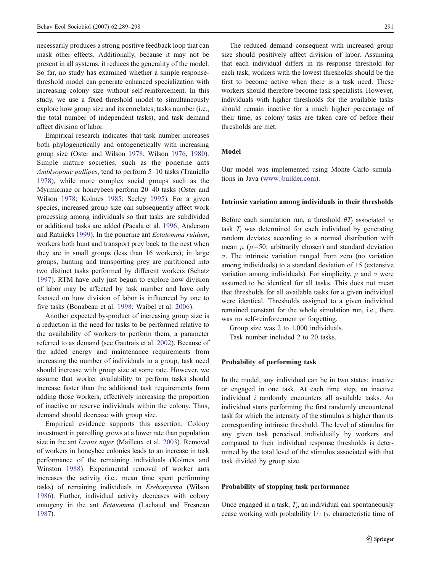necessarily produces a strong positive feedback loop that can mask other effects. Additionally, because it may not be present in all systems, it reduces the generality of the model. So far, no study has examined whether a simple responsethreshold model can generate enhanced specialization with increasing colony size without self-reinforcement. In this study, we use a fixed threshold model to simultaneously explore how group size and its correlates, tasks number (i.e., the total number of independent tasks), and task demand affect division of labor.

Empirical research indicates that task number increases both phylogenetically and ontogenetically with increasing group size (Oster and Wilson [1978](#page-8-0); Wilson [1976,](#page-9-0) [1980](#page-9-0)). Simple mature societies, such as the ponerine ants Amblyopone pallipes, tend to perform 5–10 tasks (Traniello [1978\)](#page-8-0), while more complex social groups such as the Myrmicinae or honeybees perform 20–40 tasks (Oster and Wilson [1978](#page-8-0); Kolmes [1985](#page-8-0); Seeley [1995\)](#page-8-0). For a given species, increased group size can subsequently affect work processing among individuals so that tasks are subdivided or additional tasks are added (Pacala et al. [1996;](#page-8-0) Anderson and Ratnieks [1999](#page-7-0)). In the ponerine ant Ectatomma ruidum, workers both hunt and transport prey back to the nest when they are in small groups (less than 16 workers); in large groups, hunting and transporting prey are partitioned into two distinct tasks performed by different workers (Schatz [1997\)](#page-8-0). RTM have only just begun to explore how division of labor may be affected by task number and have only focused on how division of labor is influenced by one to five tasks (Bonabeau et al. [1998](#page-7-0); Waibel et al. [2006](#page-8-0)).

Another expected by-product of increasing group size is a reduction in the need for tasks to be performed relative to the availability of workers to perform them, a parameter referred to as demand (see Gautrais et al. [2002\)](#page-8-0). Because of the added energy and maintenance requirements from increasing the number of individuals in a group, task need should increase with group size at some rate. However, we assume that worker availability to perform tasks should increase faster than the additional task requirements from adding those workers, effectively increasing the proportion of inactive or reserve individuals within the colony. Thus, demand should decrease with group size.

Empirical evidence supports this assertion. Colony investment in patrolling grows at a lower rate than population size in the ant *Lasius niger* (Mailleux et al. [2003\)](#page-8-0). Removal of workers in honeybee colonies leads to an increase in task performance of the remaining individuals (Kolmes and Winston [1988](#page-8-0)). Experimental removal of worker ants increases the activity (i.e., mean time spent performing tasks) of remaining individuals in Erebomyrma (Wilson [1986\)](#page-9-0). Further, individual activity decreases with colony ontogeny in the ant Ectatomma (Lachaud and Fresneau [1987\)](#page-8-0).

The reduced demand consequent with increased group size should positively affect division of labor. Assuming that each individual differs in its response threshold for each task, workers with the lowest thresholds should be the first to become active when there is a task need. These workers should therefore become task specialists. However, individuals with higher thresholds for the available tasks should remain inactive for a much higher percentage of their time, as colony tasks are taken care of before their thresholds are met.

#### Model

Our model was implemented using Monte Carlo simulations in Java ([www.jbuilder.com\)](http://www.jbuilder.com).

## Intrinsic variation among individuals in their thresholds

Before each simulation run, a threshold  $\theta T_i$  associated to task  $T_i$  was determined for each individual by generating random deviates according to a normal distribution with mean  $\mu$  ( $\mu$ =50; arbitrarily chosen) and standard deviation σ. The intrinsic variation ranged from zero (no variation among individuals) to a standard deviation of 15 (extensive variation among individuals). For simplicity,  $\mu$  and  $\sigma$  were assumed to be identical for all tasks. This does not mean that thresholds for all available tasks for a given individual were identical. Thresholds assigned to a given individual remained constant for the whole simulation run, i.e., there was no self-reinforcement or forgetting.

Group size was 2 to 1,000 individuals.

Task number included 2 to 20 tasks.

# Probability of performing task

In the model, any individual can be in two states: inactive or engaged in one task. At each time step, an inactive individual i randomly encounters all available tasks. An individual starts performing the first randomly encountered task for which the intensity of the stimulus is higher than its corresponding intrinsic threshold. The level of stimulus for any given task perceived individually by workers and compared to their individual response thresholds is determined by the total level of the stimulus associated with that task divided by group size.

## Probability of stopping task performance

Once engaged in a task,  $T_i$ , an individual can spontaneously cease working with probability  $1/\tau$  ( $\tau$ , characteristic time of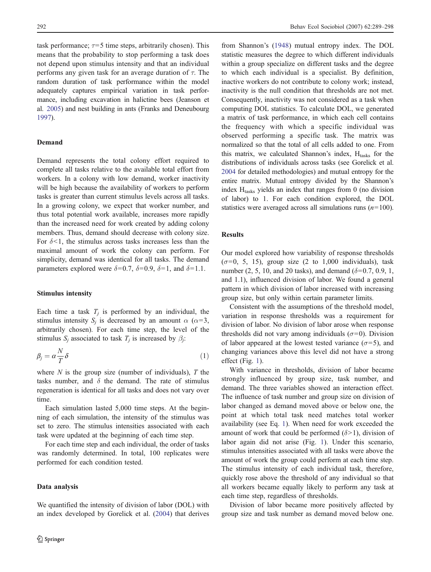task performance:  $\tau = 5$  time steps, arbitrarily chosen). This means that the probability to stop performing a task does not depend upon stimulus intensity and that an individual performs any given task for an average duration of  $\tau$ . The random duration of task performance within the model adequately captures empirical variation in task performance, including excavation in halictine bees (Jeanson et al. [2005](#page-8-0)) and nest building in ants (Franks and Deneubourg [1997\)](#page-8-0).

# Demand

Demand represents the total colony effort required to complete all tasks relative to the available total effort from workers. In a colony with low demand, worker inactivity will be high because the availability of workers to perform tasks is greater than current stimulus levels across all tasks. In a growing colony, we expect that worker number, and thus total potential work available, increases more rapidly than the increased need for work created by adding colony members. Thus, demand should decrease with colony size. For  $\delta$ <1, the stimulus across tasks increases less than the maximal amount of work the colony can perform. For simplicity, demand was identical for all tasks. The demand parameters explored were  $\delta = 0.7$ ,  $\delta = 0.9$ ,  $\delta = 1$ , and  $\delta = 1.1$ .

#### Stimulus intensity

Each time a task  $T_i$  is performed by an individual, the stimulus intensity  $S_i$  is decreased by an amount  $\alpha$  ( $\alpha=3$ , arbitrarily chosen). For each time step, the level of the stimulus  $S_i$  associated to task  $T_i$  is increased by  $\beta_i$ :

$$
\beta_j = \alpha \frac{N}{T} \delta \tag{1}
$$

where  $N$  is the group size (number of individuals),  $T$  the tasks number, and  $\delta$  the demand. The rate of stimulus regeneration is identical for all tasks and does not vary over time.

Each simulation lasted 5,000 time steps. At the beginning of each simulation, the intensity of the stimulus was set to zero. The stimulus intensities associated with each task were updated at the beginning of each time step.

For each time step and each individual, the order of tasks was randomly determined. In total, 100 replicates were performed for each condition tested.

#### Data analysis

We quantified the intensity of division of labor (DOL) with an index developed by Gorelick et al. ([2004\)](#page-8-0) that derives

from Shannon's [\(1948](#page-8-0)) mutual entropy index. The DOL statistic measures the degree to which different individuals within a group specialize on different tasks and the degree to which each individual is a specialist. By definition, inactive workers do not contribute to colony work; instead, inactivity is the null condition that thresholds are not met. Consequently, inactivity was not considered as a task when computing DOL statistics. To calculate DOL, we generated a matrix of task performance, in which each cell contains the frequency with which a specific individual was observed performing a specific task. The matrix was normalized so that the total of all cells added to one. From this matrix, we calculated Shannon's index,  $H<sub>tasks</sub>$  for the distributions of individuals across tasks (see Gorelick et al. [2004](#page-8-0) for detailed methodologies) and mutual entropy for the entire matrix. Mutual entropy divided by the Shannon's index  $H<sub>tasks</sub>$  yields an index that ranges from 0 (no division of labor) to 1. For each condition explored, the DOL statistics were averaged across all simulations runs  $(n=100)$ .

## **Results**

Our model explored how variability of response thresholds  $(\sigma=0, 5, 15)$ , group size (2 to 1,000 individuals), task number (2, 5, 10, and 20 tasks), and demand ( $\delta$ =0.7, 0.9, 1, and 1.1), influenced division of labor. We found a general pattern in which division of labor increased with increasing group size, but only within certain parameter limits.

Consistent with the assumptions of the threshold model, variation in response thresholds was a requirement for division of labor. No division of labor arose when response thresholds did not vary among individuals ( $\sigma$ =0). Division of labor appeared at the lowest tested variance ( $\sigma$ =5), and changing variances above this level did not have a strong effect (Fig. [1\)](#page-4-0).

With variance in thresholds, division of labor became strongly influenced by group size, task number, and demand. The three variables showed an interaction effect. The influence of task number and group size on division of labor changed as demand moved above or below one, the point at which total task need matches total worker availability (see Eq. 1). When need for work exceeded the amount of work that could be performed  $(\delta > 1)$ , division of labor again did not arise (Fig. [1\)](#page-4-0). Under this scenario, stimulus intensities associated with all tasks were above the amount of work the group could perform at each time step. The stimulus intensity of each individual task, therefore, quickly rose above the threshold of any individual so that all workers became equally likely to perform any task at each time step, regardless of thresholds.

Division of labor became more positively affected by group size and task number as demand moved below one.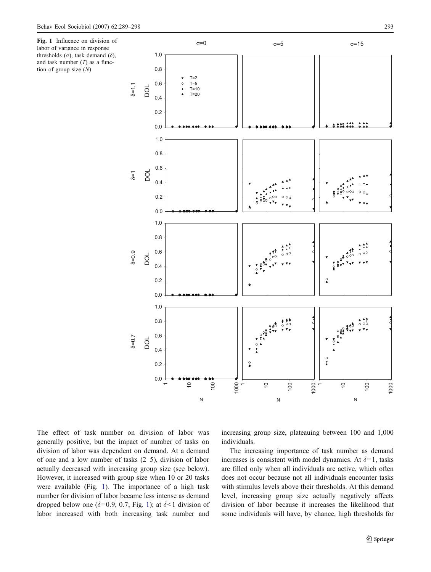<span id="page-4-0"></span>Fig. 1 Influence on division of labor of variance in response thresholds  $(\sigma)$ , task demand  $(\delta)$ , and task number  $(T)$  as a function of group size (N)



The effect of task number on division of labor was generally positive, but the impact of number of tasks on division of labor was dependent on demand. At a demand of one and a low number of tasks (2–5), division of labor actually decreased with increasing group size (see below). However, it increased with group size when 10 or 20 tasks were available (Fig. 1). The importance of a high task number for division of labor became less intense as demand dropped below one ( $\delta$ =0.9, 0.7; Fig. 1); at  $\delta$ <1 division of labor increased with both increasing task number and increasing group size, plateauing between 100 and 1,000 individuals.

The increasing importance of task number as demand increases is consistent with model dynamics. At  $\delta$ =1, tasks are filled only when all individuals are active, which often does not occur because not all individuals encounter tasks with stimulus levels above their thresholds. At this demand level, increasing group size actually negatively affects division of labor because it increases the likelihood that some individuals will have, by chance, high thresholds for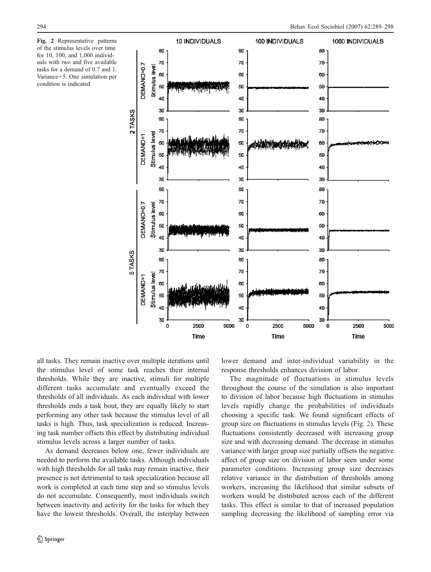Fig. 2 Representative patterns of the stimulus levels over time for 10, 100, and 1,000 individuals with two and five available tasks for a demand of 0.7 and 1. Variance=5. One simulation per condition is indicated



all tasks. They remain inactive over multiple iterations until the stimulus level of some task reaches their internal thresholds. While they are inactive, stimuli for multiple different tasks accumulate and eventually exceed the thresholds of all individuals. As each individual with lower thresholds ends a task bout, they are equally likely to start performing any other task because the stimulus level of all tasks is high. Thus, task specialization is reduced. Increasing task number offsets this effect by distributing individual stimulus levels across a larger number of tasks.

As demand decreases below one, fewer individuals are needed to perform the available tasks. Although individuals with high thresholds for all tasks may remain inactive, their presence is not detrimental to task specialization because all work is completed at each time step and so stimulus levels do not accumulate. Consequently, most individuals switch between inactivity and activity for the tasks for which they have the lowest thresholds. Overall, the interplay between lower demand and inter-individual variability in the response thresholds enhances division of labor.

The magnitude of fluctuations in stimulus levels throughout the course of the simulation is also important to division of labor because high fluctuations in stimulus levels rapidly change the probabilities of individuals choosing a specific task. We found significant effects of group size on fluctuations in stimulus levels (Fig. 2). These fluctuations consistently decreased with increasing group size and with decreasing demand. The decrease in stimulus variance with larger group size partially offsets the negative affect of group size on division of labor seen under some parameter conditions. Increasing group size decreases relative variance in the distribution of thresholds among workers, increasing the likelihood that similar subsets of workers would be distributed across each of the different tasks. This effect is similar to that of increased population sampling decreasing the likelihood of sampling error via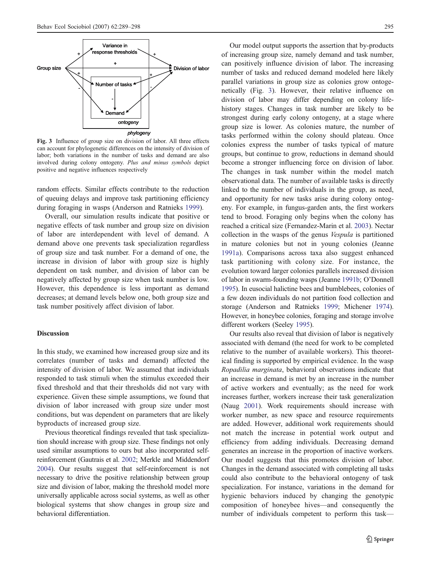<span id="page-6-0"></span>

**Fig. 3** Influence of group size on division of labor. All three effects can account for phylogenetic differences on the intensity of division of labor; both variations in the number of tasks and demand are also involved during colony ontogeny. Plus and minus symbols depict positive and negative influences respectively

random effects. Similar effects contribute to the reduction of queuing delays and improve task partitioning efficiency during foraging in wasps (Anderson and Ratnieks [1999](#page-7-0)).

Overall, our simulation results indicate that positive or negative effects of task number and group size on division of labor are interdependent with level of demand. A demand above one prevents task specialization regardless of group size and task number. For a demand of one, the increase in division of labor with group size is highly dependent on task number, and division of labor can be negatively affected by group size when task number is low. However, this dependence is less important as demand decreases; at demand levels below one, both group size and task number positively affect division of labor.

#### **Discussion**

In this study, we examined how increased group size and its correlates (number of tasks and demand) affected the intensity of division of labor. We assumed that individuals responded to task stimuli when the stimulus exceeded their fixed threshold and that their thresholds did not vary with experience. Given these simple assumptions, we found that division of labor increased with group size under most conditions, but was dependent on parameters that are likely byproducts of increased group size.

Previous theoretical findings revealed that task specialization should increase with group size. These findings not only used similar assumptions to ours but also incorporated selfreinforcement (Gautrais et al. [2002;](#page-8-0) Merkle and Middendorf [2004\)](#page-8-0). Our results suggest that self-reinforcement is not necessary to drive the positive relationship between group size and division of labor, making the threshold model more universally applicable across social systems, as well as other biological systems that show changes in group size and behavioral differentiation.

Our model output supports the assertion that by-products of increasing group size, namely demand and task number, can positively influence division of labor. The increasing number of tasks and reduced demand modeled here likely parallel variations in group size as colonies grow ontogenetically (Fig. 3). However, their relative influence on division of labor may differ depending on colony lifehistory stages. Changes in task number are likely to be strongest during early colony ontogeny, at a stage where group size is lower. As colonies mature, the number of tasks performed within the colony should plateau. Once colonies express the number of tasks typical of mature groups, but continue to grow, reductions in demand should become a stronger influencing force on division of labor. The changes in task number within the model match observational data. The number of available tasks is directly linked to the number of individuals in the group, as need, and opportunity for new tasks arise during colony ontogeny. For example, in fungus-garden ants, the first workers tend to brood. Foraging only begins when the colony has reached a critical size (Fernandez-Marin et al. [2003\)](#page-8-0). Nectar collection in the wasps of the genus Vespula is partitioned in mature colonies but not in young colonies (Jeanne [1991a](#page-8-0)). Comparisons across taxa also suggest enhanced task partitioning with colony size. For instance, the evolution toward larger colonies parallels increased division of labor in swarm-founding wasps (Jeanne [1991b](#page-8-0); O'Donnell [1995\)](#page-8-0). In eusocial halictine bees and bumblebees, colonies of a few dozen individuals do not partition food collection and storage (Anderson and Ratnieks [1999](#page-7-0); Michener [1974\)](#page-8-0). However, in honeybee colonies, foraging and storage involve different workers (Seeley [1995](#page-8-0)).

Our results also reveal that division of labor is negatively associated with demand (the need for work to be completed relative to the number of available workers). This theoretical finding is supported by empirical evidence. In the wasp Ropadilia marginata, behavioral observations indicate that an increase in demand is met by an increase in the number of active workers and eventually; as the need for work increases further, workers increase their task generalization (Naug [2001](#page-8-0)). Work requirements should increase with worker number, as new space and resource requirements are added. However, additional work requirements should not match the increase in potential work output and efficiency from adding individuals. Decreasing demand generates an increase in the proportion of inactive workers. Our model suggests that this promotes division of labor. Changes in the demand associated with completing all tasks could also contribute to the behavioral ontogeny of task specialization. For instance, variations in the demand for hygienic behaviors induced by changing the genotypic composition of honeybee hives—and consequently the number of individuals competent to perform this task—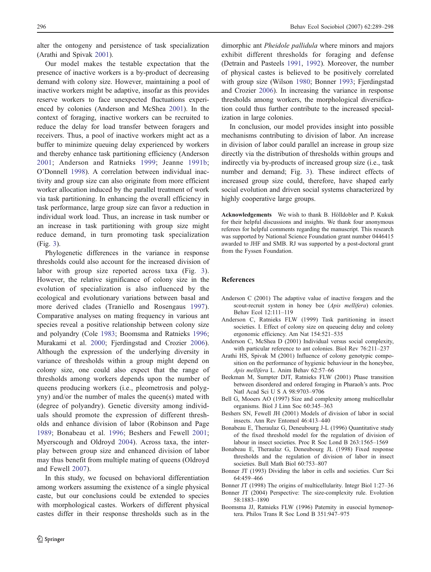<span id="page-7-0"></span>alter the ontogeny and persistence of task specialization (Arathi and Spivak 2001).

Our model makes the testable expectation that the presence of inactive workers is a by-product of decreasing demand with colony size. However, maintaining a pool of inactive workers might be adaptive, insofar as this provides reserve workers to face unexpected fluctuations experienced by colonies (Anderson and McShea 2001). In the context of foraging, inactive workers can be recruited to reduce the delay for load transfer between foragers and receivers. Thus, a pool of inactive workers might act as a buffer to minimize queuing delay experienced by workers and thereby enhance task partitioning efficiency (Anderson 2001; Anderson and Ratnieks 1999; Jeanne [1991b](#page-8-0); O'Donnell [1998\)](#page-8-0). A correlation between individual inactivity and group size can also originate from more efficient worker allocation induced by the parallel treatment of work via task partitioning. In enhancing the overall efficiency in task performance, large group size can favor a reduction in individual work load. Thus, an increase in task number or an increase in task partitioning with group size might reduce demand, in turn promoting task specialization (Fig. [3](#page-6-0)).

Phylogenetic differences in the variance in response thresholds could also account for the increased division of labor with group size reported across taxa (Fig. [3](#page-6-0)). However, the relative significance of colony size in the evolution of specialization is also influenced by the ecological and evolutionary variations between basal and more derived clades (Traniello and Rosengaus [1997](#page-8-0)). Comparative analyses on mating frequency in various ant species reveal a positive relationship between colony size and polyandry (Cole [1983](#page-8-0); Boomsma and Ratnieks 1996; Murakami et al. [2000](#page-8-0); Fjerdingstad and Crozier [2006](#page-8-0)). Although the expression of the underlying diversity in variance of thresholds within a group might depend on colony size, one could also expect that the range of thresholds among workers depends upon the number of queens producing workers (i.e., pleometrosis and polygyny) and/or the number of males the queen(s) mated with (degree of polyandry). Genetic diversity among individuals should promote the expression of different thresholds and enhance division of labor (Robinson and Page [1989](#page-8-0); Bonabeau et al. 1996; Beshers and Fewell 2001; Myerscough and Oldroyd [2004\)](#page-8-0). Across taxa, the interplay between group size and enhanced division of labor may thus benefit from multiple mating of queens (Oldroyd and Fewell [2007](#page-8-0)).

In this study, we focused on behavioral differentiation among workers assuming the existence of a single physical caste, but our conclusions could be extended to species with morphological castes. Workers of different physical castes differ in their response thresholds such as in the dimorphic ant Pheidole pallidula where minors and majors exhibit different thresholds for foraging and defense (Detrain and Pasteels [1991,](#page-8-0) [1992](#page-8-0)). Moreover, the number of physical castes is believed to be positively correlated with group size (Wilson [1980;](#page-9-0) Bonner 1993; Fjerdingstad and Crozier [2006\)](#page-8-0). In increasing the variance in response thresholds among workers, the morphological diversification could thus further contribute to the increased specialization in large colonies.

In conclusion, our model provides insight into possible mechanisms contributing to division of labor. An increase in division of labor could parallel an increase in group size directly via the distribution of thresholds within groups and indirectly via by-products of increased group size (i.e., task number and demand; Fig. [3](#page-6-0)). These indirect effects of increased group size could, therefore, have shaped early social evolution and driven social systems characterized by highly cooperative large groups.

Acknowledgements We wish to thank B. Hölldobler and P. Kukuk for their helpful discussions and insights. We thank four anonymous referees for helpful comments regarding the manuscript. This research was supported by National Science Foundation grant number 0446415 awarded to JHF and SMB. RJ was supported by a post-doctoral grant from the Fyssen Foundation.

### References

- Anderson C (2001) The adaptive value of inactive foragers and the scout-recruit system in honey bee (Apis mellifera) colonies. Behav Ecol 12:111–119
- Anderson C, Ratnieks FLW (1999) Task partitioning in insect societies. I. Effect of colony size on queueing delay and colony ergonomic efficiency. Am Nat 154:521–535
- Anderson C, McShea D (2001) Individual versus social complexity, with particular reference to ant colonies. Biol Rev 76:211–237
- Arathi HS, Spivak M (2001) Influence of colony genotypic composition on the performance of hygienic behaviour in the honeybee, Apis mellifera L. Anim Behav 62:57–66
- Beekman M, Sumpter DJT, Ratnieks FLW (2001) Phase transition between disordered and ordered foraging in Pharaoh's ants. Proc Natl Acad Sci U S A 98:9703–9706
- Bell G, Mooers AO (1997) Size and complexity among multicellular organisms. Biol J Linn Soc 60:345–363
- Beshers SN, Fewell JH (2001) Models of division of labor in social insects. Ann Rev Entomol 46:413–440
- Bonabeau E, Theraulaz G, Deneubourg J-L (1996) Quantitative study of the fixed threshold model for the regulation of division of labour in insect societies. Proc R Soc Lond B 263:1565–1569
- Bonabeau E, Theraulaz G, Deneubourg JL (1998) Fixed response thresholds and the regulation of division of labor in insect societies. Bull Math Biol 60:753–807
- Bonner JT (1993) Dividing the labor in cells and societies. Curr Sci 64:459–466
- Bonner JT (1998) The origins of multicellularity. Integr Biol 1:27–36
- Bonner JT (2004) Perspective: The size-complexity rule. Evolution 58:1883–1890
- Boomsma JJ, Ratnieks FLW (1996) Paternity in eusocial hymenoptera. Philos Trans R Soc Lond B 351:947–975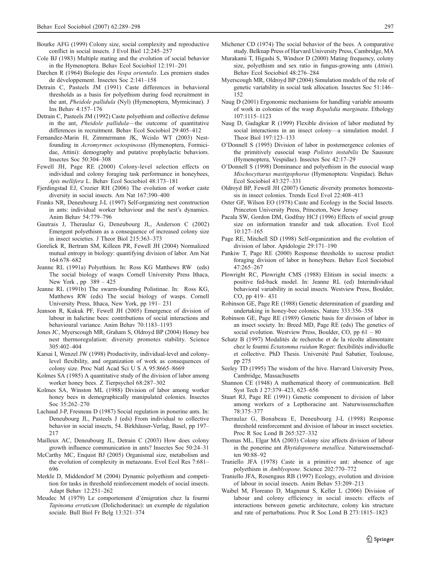<span id="page-8-0"></span>Bourke AFG (1999) Colony size, social complexity and reproductive conflict in social insects. J Evol Biol 12:245–257

- Cole BJ (1983) Multiple mating and the evolution of social behavior in the Hymenoptera. Behav Ecol Sociobiol 12:191–201
- Darchen R (1964) Biologie des Vespa orientalis. Les premiers stades de développement. Insectes Soc 2:141–158
- Detrain C, Pasteels JM (1991) Caste differences in behavioral thresholds as a basis for polyethism during food recruitment in the ant, Pheidole pallidula (Nyl) (Hymenoptera, Myrmicinae). J Ins Behav 4:157–176
- Detrain C, Pasteels JM (1992) Caste polyethism and collective defense in the ant, Pheidole pallidula—the outcome of quantitative differences in recruitment. Behav Ecol Sociobiol 29:405–412
- Fernandez-Marin H, Zimmermann JK, Wcislo WT (2003) Nestfounding in Acromyrmex octospinosus (Hymenoptera, Formicidae, Attini): demography and putative prophylactic behaviors. Insectes Soc 50:304–308
- Fewell JH, Page RE (2000) Colony-level selection effects on individual and colony foraging task performance in honeybees, Apis mellifera L. Behav Ecol Sociobiol 48:173–181
- Fjerdingstad EJ, Crozier RH (2006) The evolution of worker caste diversity in social insects. Am Nat 167:390–400
- Franks NR, Deneubourg J-L (1997) Self-organizing nest construction in ants: individual worker behaviour and the nest's dynamics. Anim Behav 54:779–796
- Gautrais J, Theraulaz G, Deneubourg JL, Anderson C (2002) Emergent polyethism as a consequence of increased colony size in insect societies. J Theor Biol 215:363–373
- Gorelick R, Bertram SM, Killeen PR, Fewell JH (2004) Normalized mutual entropy in biology: quantifying division of labor. Am Nat 164:678–682
- Jeanne RL (1991a) Polyethism. In: Ross KG Matthews RW (eds) The social biology of wasps Cornell University Press Ithaca, New York , pp 389 – 425
- Jeanne RL (1991b) The swarm-founding Polistinae. In: Ross KG, Matthews RW (eds) The social biology of wasps. Cornell University Press, Ithaca, New York, pp 191– 231
- Jeanson R, Kukuk PF, Fewell JH (2005) Emergence of division of labour in halictine bees: contributions of social interactions and behavioural variance. Anim Behav 70:1183–1193
- Jones JC, Myerscough MR, Graham S, Oldroyd BP (2004) Honey bee nest thermoregulation: diversity promotes stability. Science 305:402–404
- Karsai I, Wenzel JW (1998) Productivity, individual-level and colonylevel flexibility, and organization of work as consequences of colony size. Proc Natl Acad Sci U S A 95:8665–8669
- Kolmes SA (1985) A quantitative study of the division of labor among worker honey bees. Z Tierpsychol 68:287–302
- Kolmes SA, Winston ML (1988) Division of labor among worker honey bees in demographically manipulated colonies. Insectes Soc 35:262–270
- Lachaud J-P, Fresneau D (1987) Social regulation in ponerine ants. In: Deneubourg JL, Pasteels J (eds) From individual to collective behavior in social insects, 54. Birkhäuser-Verlag, Basel, pp 197– 217
- Mailleux AC, Deneubourg JL, Detrain C (2003) How does colony growth influence communication in ants? Insectes Soc 50:24–31
- McCarthy MC, Enquist BJ (2005) Organismal size, metabolism and the evolution of complexity in metazoans. Evol Ecol Res 7:681– 696
- Merkle D, Middendorf M (2004) Dynamic polyethism and competition for tasks in threshold reinforcement models of social insects. Adapt Behav 12:251–262
- Meudec M (1979) Le comportement d'émigration chez la fourmi Tapinoma erraticum (Dolichoderinae): un exemple de régulation sociale. Bull Biol Fr Belg 13:321–374
- Michener CD (1974) The social behavior of the bees. A comparative study. Belknap Press of Harvard University Press, Cambridge, MA
- Murakami T, Higashi S, Windsor D (2000) Mating frequency, colony size, polyethism and sex ratio in fungus-growing ants (Attini). Behav Ecol Sociobiol 48:276–284
- Myerscough MR, Oldroyd BP (2004) Simulation models of the role of genetic variability in social task allocation. Insectes Soc 51:146– 152
- Naug D (2001) Ergonomic mechanisms for handling variable amounts of work in colonies of the wasp Ropalidia marginata. Ethology 107:1115–1123
- Naug D, Gadagkar R (1999) Flexible division of labor mediated by social interactions in an insect colony—a simulation model. J Theor Biol 197:123–133
- O'Donnell S (1995) Division of labor in postemergence colonies of the primitively eusocial wasp Polistes instabilis De Saussure (Hymenoptera, Vespidae). Insectes Soc 42:17–29
- O'Donnell S (1998) Dominance and polyethism in the eusocial wasp Mischocyttarus mastigophorus (Hymenoptera: Vespidae). Behav Ecol Sociobiol 43:327–331
- Oldroyd BP, Fewell JH (2007) Genetic diversity promotes homeostasis in insect colonies. Trends Ecol Evol 22:408–413
- Oster GF, Wilson EO (1978) Caste and Ecology in the Social Insects. Princeton University Press, Princeton, New Jersey
- Pacala SW, Gordon DM, Godfray HCJ (1996) Effects of social group size on information transfer and task allocation. Evol Ecol 10:127–165
- Page RE, Mitchell SD (1998) Self-organization and the evolution of division of labor. Apidologie 29:171–190
- Pankiw T, Page RE (2000) Response thresholds to sucrose predict foraging division of labor in honeybees. Behav Ecol Sociobiol 47:265–267
- Plowright RC, Plowright CMS (1988) Elitism in social insects: a positive fed-back model. In: Jeanne RL (ed) Interindividual behavioral variability in social insects. Westview Press, Boulder, CO, pp 419– 431
- Robinson GE, Page RE (1988) Genetic determination of guarding and undertaking in honey-bee colonies. Nature 333:356–358
- Robinson GE, Page RE (1989) Genetic basis for division of labor in an insect society. In: Breed MD, Page RE (eds) The genetics of social evolution. Westview Press, Boulder, CO, pp 61 – 80
- Schatz B (1997) Modalités de recherche et de la récolte alimentaire chez le fourmi Ectatomma ruidum Roger: flexibilités individuelle et collective. PhD Thesis. Université Paul Sabatier, Toulouse, pp 275
- Seeley TD (1995) The wisdom of the hive. Harvard University Press, Cambridge, Massachusetts
- Shannon CE (1948) A mathematical theory of communication. Bell Syst Tech J 27:379–423, 623–656
- Stuart RJ, Page RE (1991) Genetic component to division of labor among workers of a Lepthoracine ant. Naturwissenschaften 78:375–377
- Theraulaz G, Bonabeau E, Deneubourg J-L (1998) Response threshold reinforcement and division of labour in insect societies. Proc R Soc Lond B 265:327–332
- Thomas ML, Elgar MA (2003) Colony size affects division of labour in the ponerine ant Rhytidoponera metallica. Naturwissenschaften 90:88–92
- Traniello JFA (1978) Caste in a primitive ant: absence of age polyethism in Amblyopone. Science 202:770–772
- Traniello JFA, Rosengaus RB (1997) Ecology, evolution and division of labour in social insects. Anim Behav 53:209–213
- Waibel M, Floreano D, Magnenat S, Keller L (2006) Division of labour and colony efficiency in social insects: effects of interactions between genetic architecture, colony kin structure and rate of perturbations. Proc R Soc Lond B 273:1815–1823